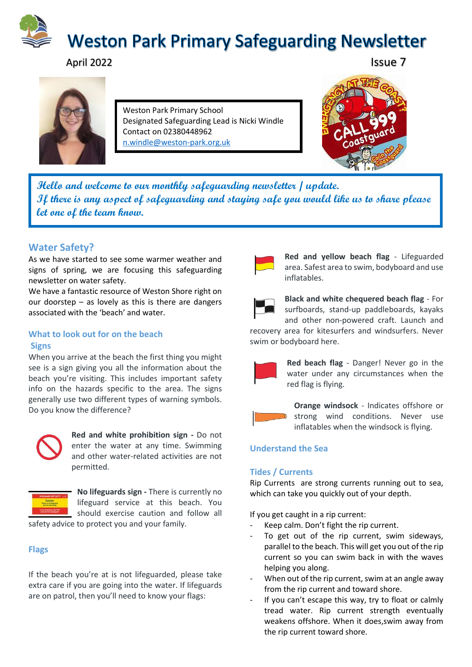

# April 2022 **Issue 7**



Weston Park Primary School Designated Safeguarding Lead is Nicki Windle Contact on 02380448962 [n.windle@weston-park.org.uk](mailto:n.windle@weston-park.org.uk)



**Hello and welcome to our monthly safeguarding newsletter / update. If there is any aspect of safeguarding and staying safe you would like us to share please let one of the team know.** 

## **Water Safety?**

As we have started to see some warmer weather and signs of spring, we are focusing this safeguarding newsletter on water safety.

We have a fantastic resource of Weston Shore right on our doorstep – as lovely as this is there are dangers associated with the 'beach' and water.

#### **What to look out for on the beach Signs**

When you arrive at the beach the first thing you might see is a sign giving you all the information about the beach you're visiting. This includes important safety info on the hazards specific to the area. The signs generally use two different types of warning symbols. Do you know the difference?



**Red and white prohibition sign -** Do not enter the water at any time. Swimming and other water-related activities are not permitted.



**No lifeguards sign -** There is currently no lifeguard service at this beach. You should exercise caution and follow all

safety advice to protect you and your family.

## **Flags**

If the beach you're at is not lifeguarded, please take extra care if you are going into the water. If lifeguards are on patrol, then you'll need to know your flags:



**Red and yellow beach flag** - Lifeguarded area. Safest area to swim, bodyboard and use inflatables.

**Black and white chequered beach flag** - For surfboards, stand-up paddleboards, kayaks and other non-powered craft. Launch and

recovery area for kitesurfers and windsurfers. Never swim or bodyboard here.



**Red beach flag** - Danger! Never go in the water under any circumstances when the red flag is flying.



**Orange windsock** - Indicates offshore or strong wind conditions. Never use inflatables when the windsock is flying.

## **Understand the Sea**

## **Tides / Currents**

Rip Currents are strong currents running out to sea, which can take you quickly out of your depth.

If you get caught in a rip current:

- Keep calm. Don't fight the rip current.
- To get out of the rip current, swim sideways, parallel to the beach. This will get you out of the rip current so you can swim back in with the waves helping you along.
- When out of the rip current, swim at an angle away from the rip current and toward shore.
- If you can't escape this way, try to float or calmly tread water. Rip current strength eventually weakens offshore. When it does,swim away from the rip current toward shore.